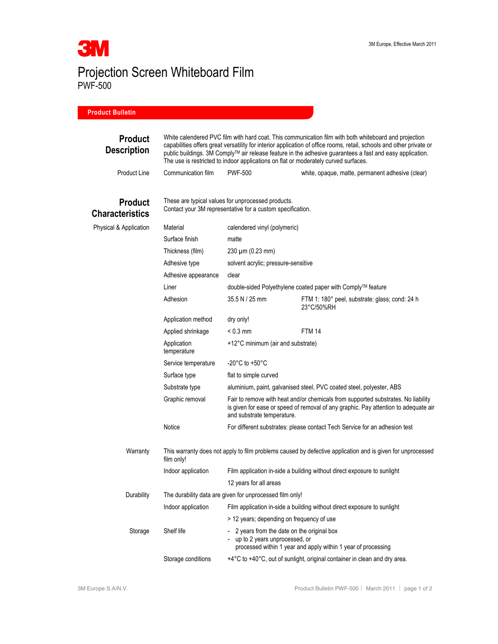

Projection Screen Whiteboard Film PWF-500

## **Product Bulletin**

| <b>Product</b><br><b>Description</b>     | White calendered PVC film with hard coat. This communication film with both whiteboard and projection<br>capabilities offers great versatility for interior application of office rooms, retail, schools and other private or<br>public buildings. 3M Comply™ air release feature in the adhesive guarantees a fast and easy application.<br>The use is restricted to indoor applications on flat or moderately curved surfaces. |                                                                                                                                                                                                        |                                                                            |  |
|------------------------------------------|----------------------------------------------------------------------------------------------------------------------------------------------------------------------------------------------------------------------------------------------------------------------------------------------------------------------------------------------------------------------------------------------------------------------------------|--------------------------------------------------------------------------------------------------------------------------------------------------------------------------------------------------------|----------------------------------------------------------------------------|--|
| Product Line                             | Communication film                                                                                                                                                                                                                                                                                                                                                                                                               | <b>PWF-500</b>                                                                                                                                                                                         | white, opaque, matte, permanent adhesive (clear)                           |  |
| <b>Product</b><br><b>Characteristics</b> | These are typical values for unprocessed products.<br>Contact your 3M representative for a custom specification.                                                                                                                                                                                                                                                                                                                 |                                                                                                                                                                                                        |                                                                            |  |
| Physical & Application                   | Material                                                                                                                                                                                                                                                                                                                                                                                                                         | calendered vinyl (polymeric)                                                                                                                                                                           |                                                                            |  |
|                                          | Surface finish                                                                                                                                                                                                                                                                                                                                                                                                                   | matte                                                                                                                                                                                                  |                                                                            |  |
|                                          | Thickness (film)                                                                                                                                                                                                                                                                                                                                                                                                                 | $230 \mu m (0.23 mm)$                                                                                                                                                                                  |                                                                            |  |
|                                          | Adhesive type                                                                                                                                                                                                                                                                                                                                                                                                                    | solvent acrylic; pressure-sensitive                                                                                                                                                                    |                                                                            |  |
|                                          | Adhesive appearance                                                                                                                                                                                                                                                                                                                                                                                                              | clear                                                                                                                                                                                                  |                                                                            |  |
|                                          | Liner                                                                                                                                                                                                                                                                                                                                                                                                                            | double-sided Polyethylene coated paper with Comply™ feature                                                                                                                                            |                                                                            |  |
|                                          | Adhesion                                                                                                                                                                                                                                                                                                                                                                                                                         | 35.5 N / 25 mm                                                                                                                                                                                         | FTM 1: 180° peel, substrate: glass; cond: 24 h<br>23°C/50%RH               |  |
|                                          | Application method                                                                                                                                                                                                                                                                                                                                                                                                               | dry only!                                                                                                                                                                                              |                                                                            |  |
|                                          | Applied shrinkage                                                                                                                                                                                                                                                                                                                                                                                                                | $< 0.3$ mm                                                                                                                                                                                             | <b>FTM 14</b>                                                              |  |
|                                          | Application<br>temperature                                                                                                                                                                                                                                                                                                                                                                                                       | +12°C minimum (air and substrate)                                                                                                                                                                      |                                                                            |  |
|                                          | Service temperature                                                                                                                                                                                                                                                                                                                                                                                                              | -20 $^{\circ}$ C to +50 $^{\circ}$ C                                                                                                                                                                   |                                                                            |  |
|                                          | Surface type                                                                                                                                                                                                                                                                                                                                                                                                                     | flat to simple curved                                                                                                                                                                                  |                                                                            |  |
|                                          | Substrate type                                                                                                                                                                                                                                                                                                                                                                                                                   | aluminium, paint, galvanised steel, PVC coated steel, polyester, ABS                                                                                                                                   |                                                                            |  |
|                                          | Graphic removal                                                                                                                                                                                                                                                                                                                                                                                                                  | Fair to remove with heat and/or chemicals from supported substrates. No liability<br>is given for ease or speed of removal of any graphic. Pay attention to adequate air<br>and substrate temperature. |                                                                            |  |
|                                          | Notice                                                                                                                                                                                                                                                                                                                                                                                                                           |                                                                                                                                                                                                        | For different substrates: please contact Tech Service for an adhesion test |  |
| Warranty                                 | This warranty does not apply to film problems caused by defective application and is given for unprocessed<br>film only!                                                                                                                                                                                                                                                                                                         |                                                                                                                                                                                                        |                                                                            |  |
|                                          | Indoor application                                                                                                                                                                                                                                                                                                                                                                                                               |                                                                                                                                                                                                        | Film application in-side a building without direct exposure to sunlight    |  |
|                                          | 12 years for all areas                                                                                                                                                                                                                                                                                                                                                                                                           |                                                                                                                                                                                                        |                                                                            |  |
| Durability                               | The durability data are given for unprocessed film only!                                                                                                                                                                                                                                                                                                                                                                         |                                                                                                                                                                                                        |                                                                            |  |
|                                          | Indoor application                                                                                                                                                                                                                                                                                                                                                                                                               | Film application in-side a building without direct exposure to sunlight                                                                                                                                |                                                                            |  |
|                                          |                                                                                                                                                                                                                                                                                                                                                                                                                                  | > 12 years; depending on frequency of use                                                                                                                                                              |                                                                            |  |
| Storage                                  | Shelf life                                                                                                                                                                                                                                                                                                                                                                                                                       | 2 years from the date on the original box<br>$\overline{\phantom{0}}$<br>up to 2 years unprocessed, or<br>processed within 1 year and apply within 1 year of processing                                |                                                                            |  |
|                                          | Storage conditions                                                                                                                                                                                                                                                                                                                                                                                                               | +4°C to +40°C, out of sunlight, original container in clean and dry area.                                                                                                                              |                                                                            |  |